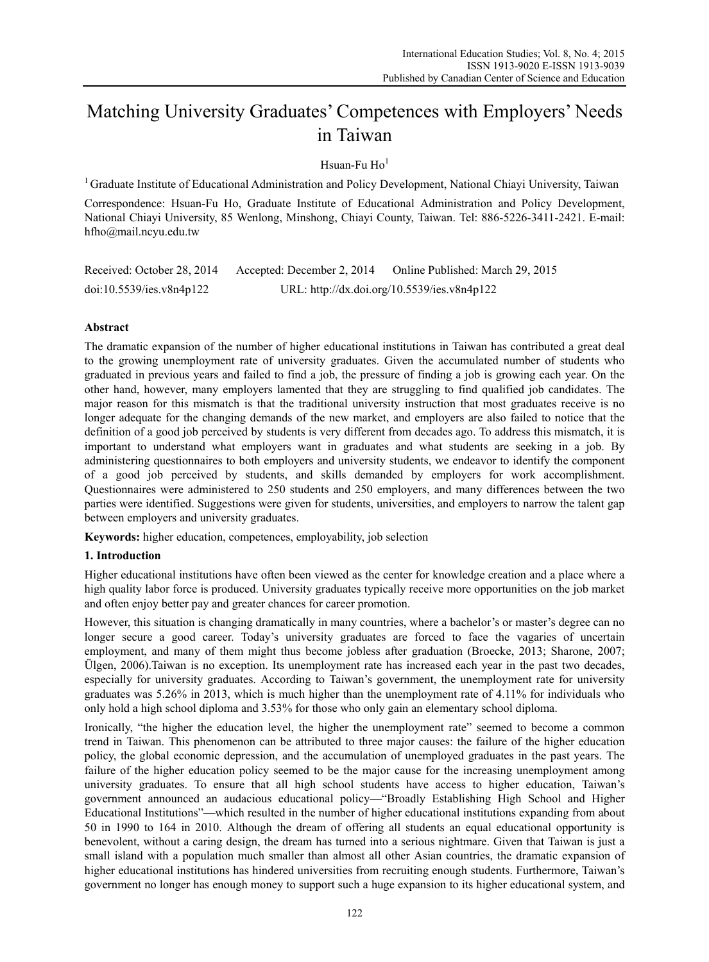# Matching University Graduates' Competences with Employers' Needs in Taiwan

Hsuan-Fu  $Ho<sup>1</sup>$ 

<sup>1</sup> Graduate Institute of Educational Administration and Policy Development, National Chiayi University, Taiwan

Correspondence: Hsuan-Fu Ho, Graduate Institute of Educational Administration and Policy Development, National Chiayi University, 85 Wenlong, Minshong, Chiayi County, Taiwan. Tel: 886-5226-3411-2421. E-mail: hfho@mail.ncyu.edu.tw

| Received: October 28, 2014 | Accepted: December 2, 2014 | Online Published: March 29, 2015            |
|----------------------------|----------------------------|---------------------------------------------|
| doi:10.5539/ies.v8n4p122   |                            | URL: http://dx.doi.org/10.5539/ies.v8n4p122 |

# **Abstract**

The dramatic expansion of the number of higher educational institutions in Taiwan has contributed a great deal to the growing unemployment rate of university graduates. Given the accumulated number of students who graduated in previous years and failed to find a job, the pressure of finding a job is growing each year. On the other hand, however, many employers lamented that they are struggling to find qualified job candidates. The major reason for this mismatch is that the traditional university instruction that most graduates receive is no longer adequate for the changing demands of the new market, and employers are also failed to notice that the definition of a good job perceived by students is very different from decades ago. To address this mismatch, it is important to understand what employers want in graduates and what students are seeking in a job. By administering questionnaires to both employers and university students, we endeavor to identify the component of a good job perceived by students, and skills demanded by employers for work accomplishment. Questionnaires were administered to 250 students and 250 employers, and many differences between the two parties were identified. Suggestions were given for students, universities, and employers to narrow the talent gap between employers and university graduates.

**Keywords:** higher education, competences, employability, job selection

# **1. Introduction**

Higher educational institutions have often been viewed as the center for knowledge creation and a place where a high quality labor force is produced. University graduates typically receive more opportunities on the job market and often enjoy better pay and greater chances for career promotion.

However, this situation is changing dramatically in many countries, where a bachelor's or master's degree can no longer secure a good career. Today's university graduates are forced to face the vagaries of uncertain employment, and many of them might thus become jobless after graduation (Broecke, 2013; Sharone, 2007; Ülgen, 2006).Taiwan is no exception. Its unemployment rate has increased each year in the past two decades, especially for university graduates. According to Taiwan's government, the unemployment rate for university graduates was 5.26% in 2013, which is much higher than the unemployment rate of 4.11% for individuals who only hold a high school diploma and 3.53% for those who only gain an elementary school diploma.

Ironically, "the higher the education level, the higher the unemployment rate" seemed to become a common trend in Taiwan. This phenomenon can be attributed to three major causes: the failure of the higher education policy, the global economic depression, and the accumulation of unemployed graduates in the past years. The failure of the higher education policy seemed to be the major cause for the increasing unemployment among university graduates. To ensure that all high school students have access to higher education, Taiwan's government announced an audacious educational policy—"Broadly Establishing High School and Higher Educational Institutions"—which resulted in the number of higher educational institutions expanding from about 50 in 1990 to 164 in 2010. Although the dream of offering all students an equal educational opportunity is benevolent, without a caring design, the dream has turned into a serious nightmare. Given that Taiwan is just a small island with a population much smaller than almost all other Asian countries, the dramatic expansion of higher educational institutions has hindered universities from recruiting enough students. Furthermore, Taiwan's government no longer has enough money to support such a huge expansion to its higher educational system, and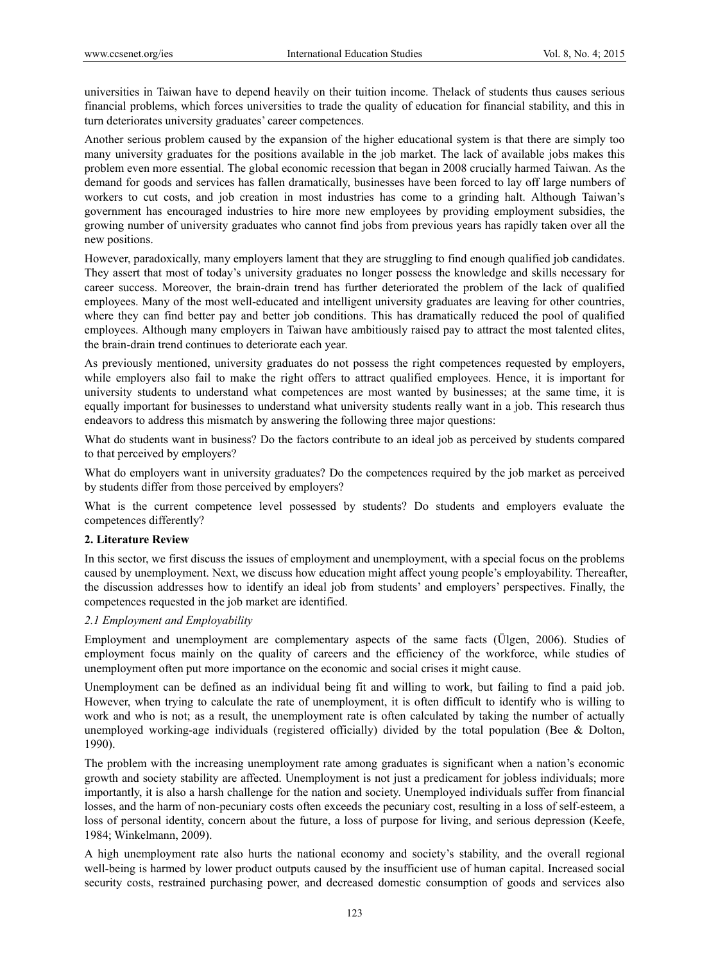universities in Taiwan have to depend heavily on their tuition income. Thelack of students thus causes serious financial problems, which forces universities to trade the quality of education for financial stability, and this in turn deteriorates university graduates' career competences.

Another serious problem caused by the expansion of the higher educational system is that there are simply too many university graduates for the positions available in the job market. The lack of available jobs makes this problem even more essential. The global economic recession that began in 2008 crucially harmed Taiwan. As the demand for goods and services has fallen dramatically, businesses have been forced to lay off large numbers of workers to cut costs, and job creation in most industries has come to a grinding halt. Although Taiwan's government has encouraged industries to hire more new employees by providing employment subsidies, the growing number of university graduates who cannot find jobs from previous years has rapidly taken over all the new positions.

However, paradoxically, many employers lament that they are struggling to find enough qualified job candidates. They assert that most of today's university graduates no longer possess the knowledge and skills necessary for career success. Moreover, the brain-drain trend has further deteriorated the problem of the lack of qualified employees. Many of the most well-educated and intelligent university graduates are leaving for other countries, where they can find better pay and better job conditions. This has dramatically reduced the pool of qualified employees. Although many employers in Taiwan have ambitiously raised pay to attract the most talented elites, the brain-drain trend continues to deteriorate each year.

As previously mentioned, university graduates do not possess the right competences requested by employers, while employers also fail to make the right offers to attract qualified employees. Hence, it is important for university students to understand what competences are most wanted by businesses; at the same time, it is equally important for businesses to understand what university students really want in a job. This research thus endeavors to address this mismatch by answering the following three major questions:

What do students want in business? Do the factors contribute to an ideal job as perceived by students compared to that perceived by employers?

What do employers want in university graduates? Do the competences required by the job market as perceived by students differ from those perceived by employers?

What is the current competence level possessed by students? Do students and employers evaluate the competences differently?

#### **2. Literature Review**

In this sector, we first discuss the issues of employment and unemployment, with a special focus on the problems caused by unemployment. Next, we discuss how education might affect young people's employability. Thereafter, the discussion addresses how to identify an ideal job from students' and employers' perspectives. Finally, the competences requested in the job market are identified.

#### *2.1 Employment and Employability*

Employment and unemployment are complementary aspects of the same facts (Ülgen, 2006). Studies of employment focus mainly on the quality of careers and the efficiency of the workforce, while studies of unemployment often put more importance on the economic and social crises it might cause.

Unemployment can be defined as an individual being fit and willing to work, but failing to find a paid job. However, when trying to calculate the rate of unemployment, it is often difficult to identify who is willing to work and who is not; as a result, the unemployment rate is often calculated by taking the number of actually unemployed working-age individuals (registered officially) divided by the total population (Bee & Dolton, 1990).

The problem with the increasing unemployment rate among graduates is significant when a nation's economic growth and society stability are affected. Unemployment is not just a predicament for jobless individuals; more importantly, it is also a harsh challenge for the nation and society. Unemployed individuals suffer from financial losses, and the harm of non-pecuniary costs often exceeds the pecuniary cost, resulting in a loss of self-esteem, a loss of personal identity, concern about the future, a loss of purpose for living, and serious depression (Keefe, 1984; Winkelmann, 2009).

A high unemployment rate also hurts the national economy and society's stability, and the overall regional well-being is harmed by lower product outputs caused by the insufficient use of human capital. Increased social security costs, restrained purchasing power, and decreased domestic consumption of goods and services also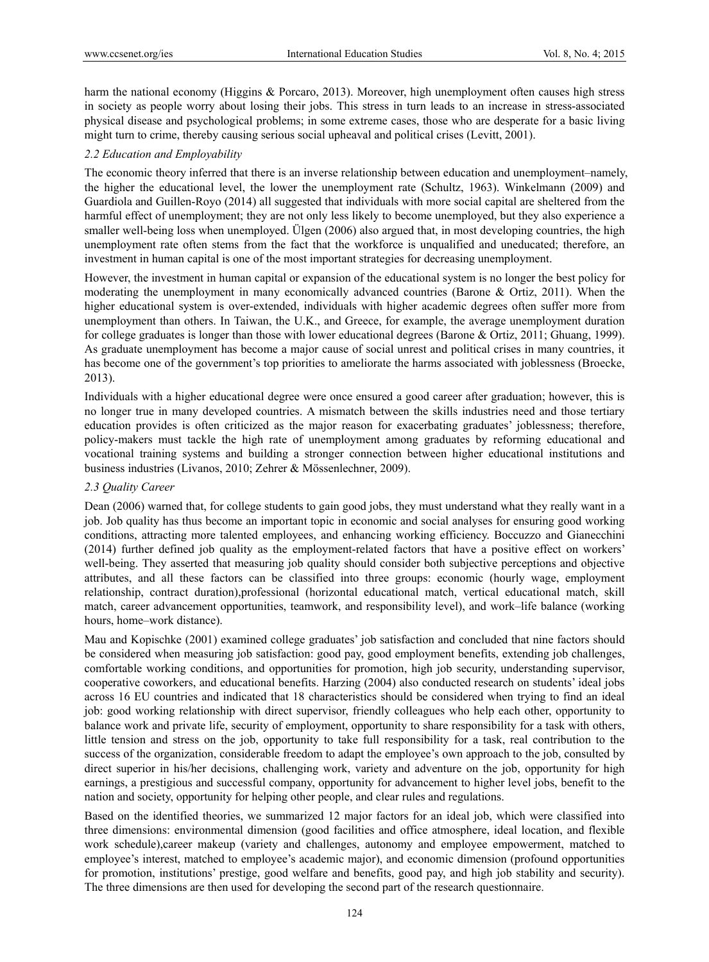harm the national economy (Higgins & Porcaro, 2013). Moreover, high unemployment often causes high stress in society as people worry about losing their jobs. This stress in turn leads to an increase in stress-associated physical disease and psychological problems; in some extreme cases, those who are desperate for a basic living might turn to crime, thereby causing serious social upheaval and political crises (Levitt, 2001).

#### *2.2 Education and Employability*

The economic theory inferred that there is an inverse relationship between education and unemployment–namely, the higher the educational level, the lower the unemployment rate (Schultz, 1963). Winkelmann (2009) and Guardiola and Guillen-Royo (2014) all suggested that individuals with more social capital are sheltered from the harmful effect of unemployment; they are not only less likely to become unemployed, but they also experience a smaller well-being loss when unemployed. Ülgen (2006) also argued that, in most developing countries, the high unemployment rate often stems from the fact that the workforce is unqualified and uneducated; therefore, an investment in human capital is one of the most important strategies for decreasing unemployment.

However, the investment in human capital or expansion of the educational system is no longer the best policy for moderating the unemployment in many economically advanced countries (Barone & Ortiz, 2011). When the higher educational system is over-extended, individuals with higher academic degrees often suffer more from unemployment than others. In Taiwan, the U.K., and Greece, for example, the average unemployment duration for college graduates is longer than those with lower educational degrees (Barone & Ortiz, 2011; Ghuang, 1999). As graduate unemployment has become a major cause of social unrest and political crises in many countries, it has become one of the government's top priorities to ameliorate the harms associated with joblessness (Broecke, 2013).

Individuals with a higher educational degree were once ensured a good career after graduation; however, this is no longer true in many developed countries. A mismatch between the skills industries need and those tertiary education provides is often criticized as the major reason for exacerbating graduates' joblessness; therefore, policy-makers must tackle the high rate of unemployment among graduates by reforming educational and vocational training systems and building a stronger connection between higher educational institutions and business industries (Livanos, 2010; Zehrer & Mössenlechner, 2009).

### *2.3 Quality Career*

Dean (2006) warned that, for college students to gain good jobs, they must understand what they really want in a job. Job quality has thus become an important topic in economic and social analyses for ensuring good working conditions, attracting more talented employees, and enhancing working efficiency. Boccuzzo and Gianecchini (2014) further defined job quality as the employment-related factors that have a positive effect on workers' well-being. They asserted that measuring job quality should consider both subjective perceptions and objective attributes, and all these factors can be classified into three groups: economic (hourly wage, employment relationship, contract duration),professional (horizontal educational match, vertical educational match, skill match, career advancement opportunities, teamwork, and responsibility level), and work–life balance (working hours, home–work distance).

Mau and Kopischke (2001) examined college graduates' job satisfaction and concluded that nine factors should be considered when measuring job satisfaction: good pay, good employment benefits, extending job challenges, comfortable working conditions, and opportunities for promotion, high job security, understanding supervisor, cooperative coworkers, and educational benefits. Harzing (2004) also conducted research on students' ideal jobs across 16 EU countries and indicated that 18 characteristics should be considered when trying to find an ideal job: good working relationship with direct supervisor, friendly colleagues who help each other, opportunity to balance work and private life, security of employment, opportunity to share responsibility for a task with others, little tension and stress on the job, opportunity to take full responsibility for a task, real contribution to the success of the organization, considerable freedom to adapt the employee's own approach to the job, consulted by direct superior in his/her decisions, challenging work, variety and adventure on the job, opportunity for high earnings, a prestigious and successful company, opportunity for advancement to higher level jobs, benefit to the nation and society, opportunity for helping other people, and clear rules and regulations.

Based on the identified theories, we summarized 12 major factors for an ideal job, which were classified into three dimensions: environmental dimension (good facilities and office atmosphere, ideal location, and flexible work schedule),career makeup (variety and challenges, autonomy and employee empowerment, matched to employee's interest, matched to employee's academic major), and economic dimension (profound opportunities for promotion, institutions' prestige, good welfare and benefits, good pay, and high job stability and security). The three dimensions are then used for developing the second part of the research questionnaire.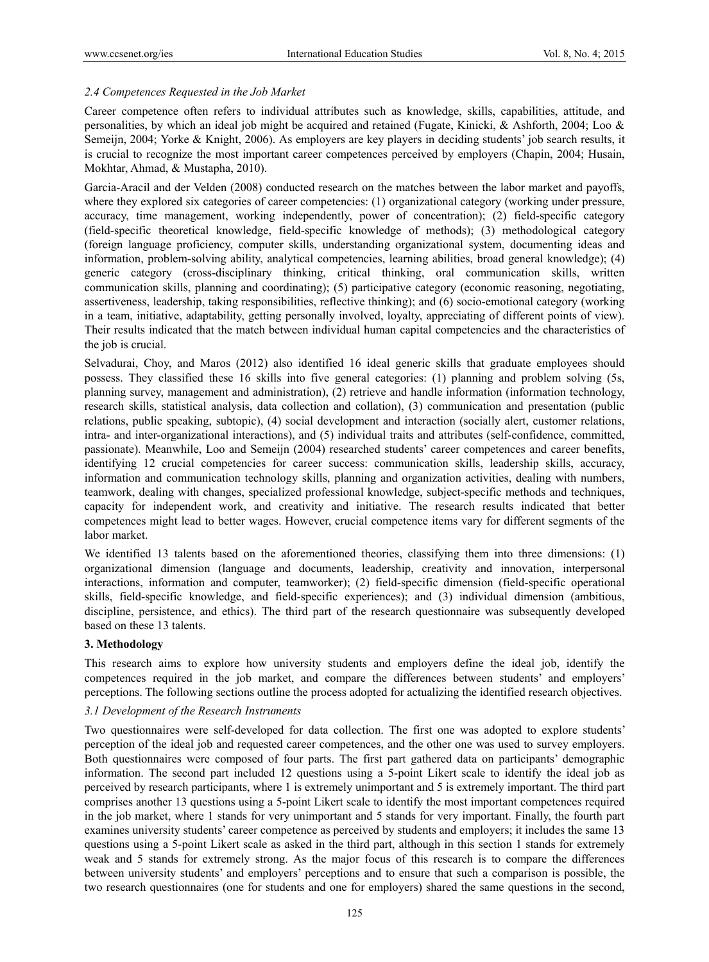## *2.4 Competences Requested in the Job Market*

Career competence often refers to individual attributes such as knowledge, skills, capabilities, attitude, and personalities, by which an ideal job might be acquired and retained (Fugate, Kinicki, & Ashforth, 2004; Loo & Semeijn, 2004; Yorke & Knight, 2006). As employers are key players in deciding students' job search results, it is crucial to recognize the most important career competences perceived by employers (Chapin, 2004; Husain, Mokhtar, Ahmad, & Mustapha, 2010).

Garcia-Aracil and der Velden (2008) conducted research on the matches between the labor market and payoffs, where they explored six categories of career competencies: (1) organizational category (working under pressure, accuracy, time management, working independently, power of concentration); (2) field-specific category (field-specific theoretical knowledge, field-specific knowledge of methods); (3) methodological category (foreign language proficiency, computer skills, understanding organizational system, documenting ideas and information, problem-solving ability, analytical competencies, learning abilities, broad general knowledge); (4) generic category (cross-disciplinary thinking, critical thinking, oral communication skills, written communication skills, planning and coordinating); (5) participative category (economic reasoning, negotiating, assertiveness, leadership, taking responsibilities, reflective thinking); and (6) socio-emotional category (working in a team, initiative, adaptability, getting personally involved, loyalty, appreciating of different points of view). Their results indicated that the match between individual human capital competencies and the characteristics of the job is crucial.

Selvadurai, Choy, and Maros (2012) also identified 16 ideal generic skills that graduate employees should possess. They classified these 16 skills into five general categories: (1) planning and problem solving (5s, planning survey, management and administration), (2) retrieve and handle information (information technology, research skills, statistical analysis, data collection and collation), (3) communication and presentation (public relations, public speaking, subtopic), (4) social development and interaction (socially alert, customer relations, intra- and inter-organizational interactions), and (5) individual traits and attributes (self-confidence, committed, passionate). Meanwhile, Loo and Semeijn (2004) researched students' career competences and career benefits, identifying 12 crucial competencies for career success: communication skills, leadership skills, accuracy, information and communication technology skills, planning and organization activities, dealing with numbers, teamwork, dealing with changes, specialized professional knowledge, subject-specific methods and techniques, capacity for independent work, and creativity and initiative. The research results indicated that better competences might lead to better wages. However, crucial competence items vary for different segments of the labor market.

We identified 13 talents based on the aforementioned theories, classifying them into three dimensions: (1) organizational dimension (language and documents, leadership, creativity and innovation, interpersonal interactions, information and computer, teamworker); (2) field-specific dimension (field-specific operational skills, field-specific knowledge, and field-specific experiences); and (3) individual dimension (ambitious, discipline, persistence, and ethics). The third part of the research questionnaire was subsequently developed based on these 13 talents.

#### **3. Methodology**

This research aims to explore how university students and employers define the ideal job, identify the competences required in the job market, and compare the differences between students' and employers' perceptions. The following sections outline the process adopted for actualizing the identified research objectives.

#### *3.1 Development of the Research Instruments*

Two questionnaires were self-developed for data collection. The first one was adopted to explore students' perception of the ideal job and requested career competences, and the other one was used to survey employers. Both questionnaires were composed of four parts. The first part gathered data on participants' demographic information. The second part included 12 questions using a 5-point Likert scale to identify the ideal job as perceived by research participants, where 1 is extremely unimportant and 5 is extremely important. The third part comprises another 13 questions using a 5-point Likert scale to identify the most important competences required in the job market, where 1 stands for very unimportant and 5 stands for very important. Finally, the fourth part examines university students' career competence as perceived by students and employers; it includes the same 13 questions using a 5-point Likert scale as asked in the third part, although in this section 1 stands for extremely weak and 5 stands for extremely strong. As the major focus of this research is to compare the differences between university students' and employers' perceptions and to ensure that such a comparison is possible, the two research questionnaires (one for students and one for employers) shared the same questions in the second,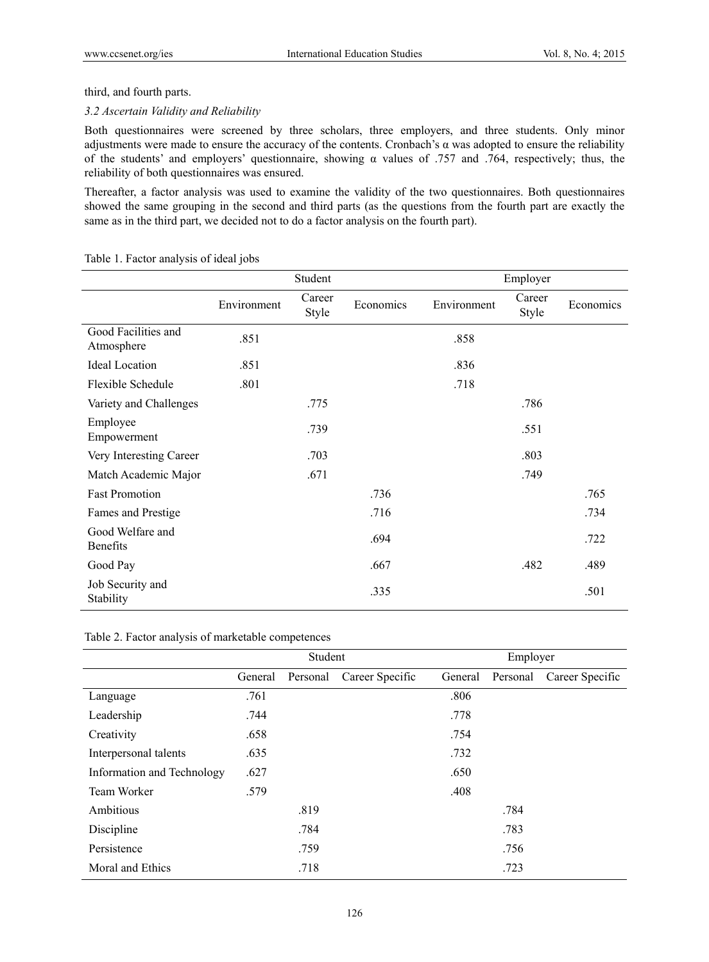#### third, and fourth parts.

#### *3.2 Ascertain Validity and Reliability*

Both questionnaires were screened by three scholars, three employers, and three students. Only minor adjustments were made to ensure the accuracy of the contents. Cronbach's  $\alpha$  was adopted to ensure the reliability of the students' and employers' questionnaire, showing α values of .757 and .764, respectively; thus, the reliability of both questionnaires was ensured.

Thereafter, a factor analysis was used to examine the validity of the two questionnaires. Both questionnaires showed the same grouping in the second and third parts (as the questions from the fourth part are exactly the same as in the third part, we decided not to do a factor analysis on the fourth part).

|                                     | Student     |                 | Employer  |             |                 |           |
|-------------------------------------|-------------|-----------------|-----------|-------------|-----------------|-----------|
|                                     | Environment | Career<br>Style | Economics | Environment | Career<br>Style | Economics |
| Good Facilities and<br>Atmosphere   | .851        |                 |           | .858        |                 |           |
| <b>Ideal Location</b>               | .851        |                 |           | .836        |                 |           |
| <b>Flexible Schedule</b>            | .801        |                 |           | .718        |                 |           |
| Variety and Challenges              |             | .775            |           |             | .786            |           |
| Employee<br>Empowerment             |             | .739            |           |             | .551            |           |
| Very Interesting Career             |             | .703            |           |             | .803            |           |
| Match Academic Major                |             | .671            |           |             | .749            |           |
| <b>Fast Promotion</b>               |             |                 | .736      |             |                 | .765      |
| Fames and Prestige                  |             |                 | .716      |             |                 | .734      |
| Good Welfare and<br><b>Benefits</b> |             |                 | .694      |             |                 | .722      |
| Good Pay                            |             |                 | .667      |             | .482            | .489      |
| Job Security and<br>Stability       |             |                 | .335      |             |                 | .501      |

Table 1. Factor analysis of ideal jobs

| Table 2. Factor analysis of marketable competences |  |
|----------------------------------------------------|--|
|                                                    |  |

|                            | Student |          | Employer        |         |          |                 |
|----------------------------|---------|----------|-----------------|---------|----------|-----------------|
|                            | General | Personal | Career Specific | General | Personal | Career Specific |
| Language                   | .761    |          |                 | .806    |          |                 |
| Leadership                 | .744    |          |                 | .778    |          |                 |
| Creativity                 | .658    |          |                 | .754    |          |                 |
| Interpersonal talents      | .635    |          |                 | .732    |          |                 |
| Information and Technology | .627    |          |                 | .650    |          |                 |
| Team Worker                | .579    |          |                 | .408    |          |                 |
| Ambitious                  |         | .819     |                 |         | .784     |                 |
| Discipline                 |         | .784     |                 |         | .783     |                 |
| Persistence                |         | .759     |                 |         | .756     |                 |
| Moral and Ethics           |         | .718     |                 |         | .723     |                 |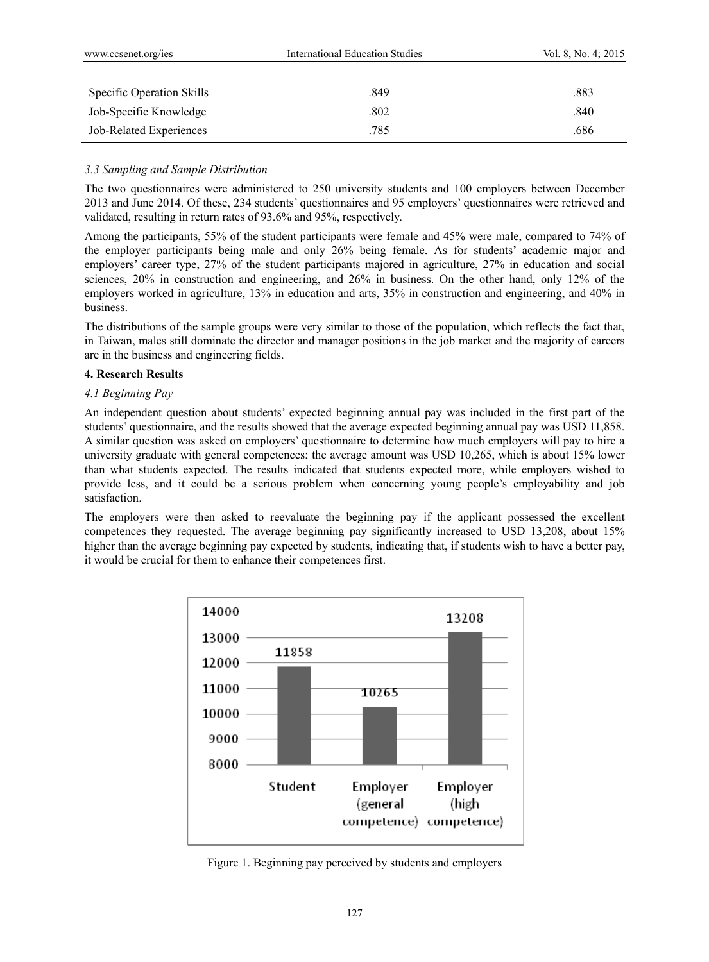# *3.3 Sampling and Sample Distribution*

The two questionnaires were administered to 250 university students and 100 employers between December 2013 and June 2014. Of these, 234 students' questionnaires and 95 employers' questionnaires were retrieved and validated, resulting in return rates of 93.6% and 95%, respectively.

Among the participants, 55% of the student participants were female and 45% were male, compared to 74% of the employer participants being male and only 26% being female. As for students' academic major and employers' career type, 27% of the student participants majored in agriculture, 27% in education and social sciences, 20% in construction and engineering, and 26% in business. On the other hand, only 12% of the employers worked in agriculture, 13% in education and arts, 35% in construction and engineering, and 40% in business.

The distributions of the sample groups were very similar to those of the population, which reflects the fact that, in Taiwan, males still dominate the director and manager positions in the job market and the majority of careers are in the business and engineering fields.

# **4. Research Results**

# *4.1 Beginning Pay*

An independent question about students' expected beginning annual pay was included in the first part of the students' questionnaire, and the results showed that the average expected beginning annual pay was USD 11,858. A similar question was asked on employers' questionnaire to determine how much employers will pay to hire a university graduate with general competences; the average amount was USD 10,265, which is about 15% lower than what students expected. The results indicated that students expected more, while employers wished to provide less, and it could be a serious problem when concerning young people's employability and job satisfaction.

The employers were then asked to reevaluate the beginning pay if the applicant possessed the excellent competences they requested. The average beginning pay significantly increased to USD 13,208, about 15% higher than the average beginning pay expected by students, indicating that, if students wish to have a better pay, it would be crucial for them to enhance their competences first.



Figure 1. Beginning pay perceived by students and employers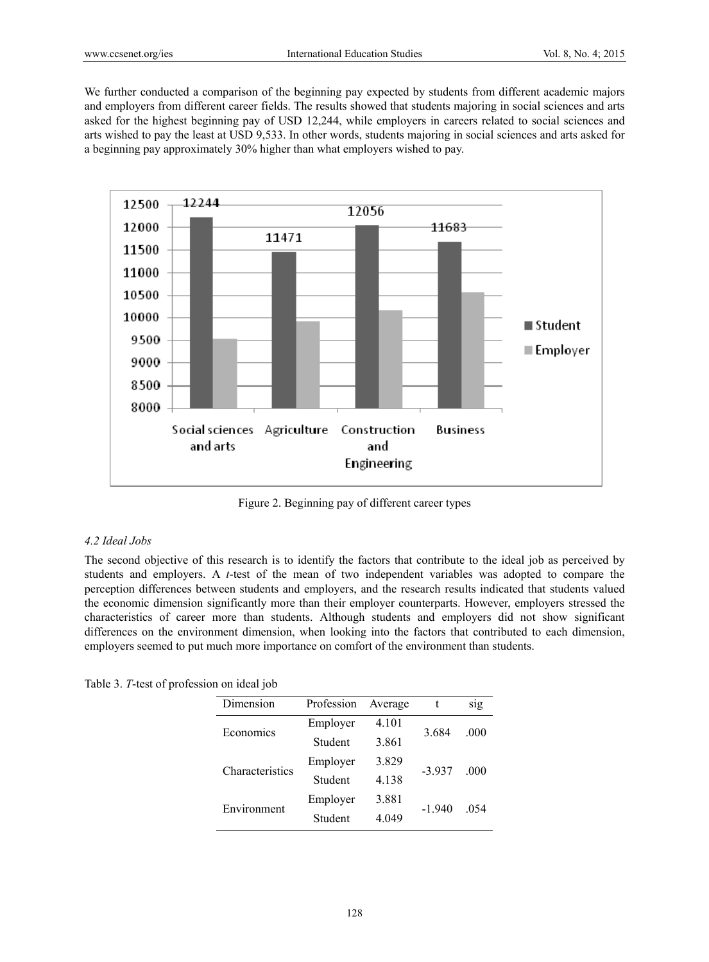We further conducted a comparison of the beginning pay expected by students from different academic majors and employers from different career fields. The results showed that students majoring in social sciences and arts asked for the highest beginning pay of USD 12,244, while employers in careers related to social sciences and arts wished to pay the least at USD 9,533. In other words, students majoring in social sciences and arts asked for a beginning pay approximately 30% higher than what employers wished to pay.



Figure 2. Beginning pay of different career types

#### *4.2 Ideal Jobs*

The second objective of this research is to identify the factors that contribute to the ideal job as perceived by students and employers. A *t*-test of the mean of two independent variables was adopted to compare the perception differences between students and employers, and the research results indicated that students valued the economic dimension significantly more than their employer counterparts. However, employers stressed the characteristics of career more than students. Although students and employers did not show significant differences on the environment dimension, when looking into the factors that contributed to each dimension, employers seemed to put much more importance on comfort of the environment than students.

| Table 3. T-test of profession on ideal job |  |
|--------------------------------------------|--|
|                                            |  |

| Dimension       | Profession        | Average | t        | S <sub>1</sub> g |
|-----------------|-------------------|---------|----------|------------------|
| Economics       | Employer          | 4.101   | 3.684    | -000             |
|                 | Student           | 3.861   |          |                  |
| Characteristics | 3.829<br>Employer |         | $-3.937$ | -000             |
|                 | Student           | 4.138   |          |                  |
| Environment     | Employer          | 3.881   | $-1.940$ | 054              |
|                 | Student           | 4.049   |          |                  |
|                 |                   |         |          |                  |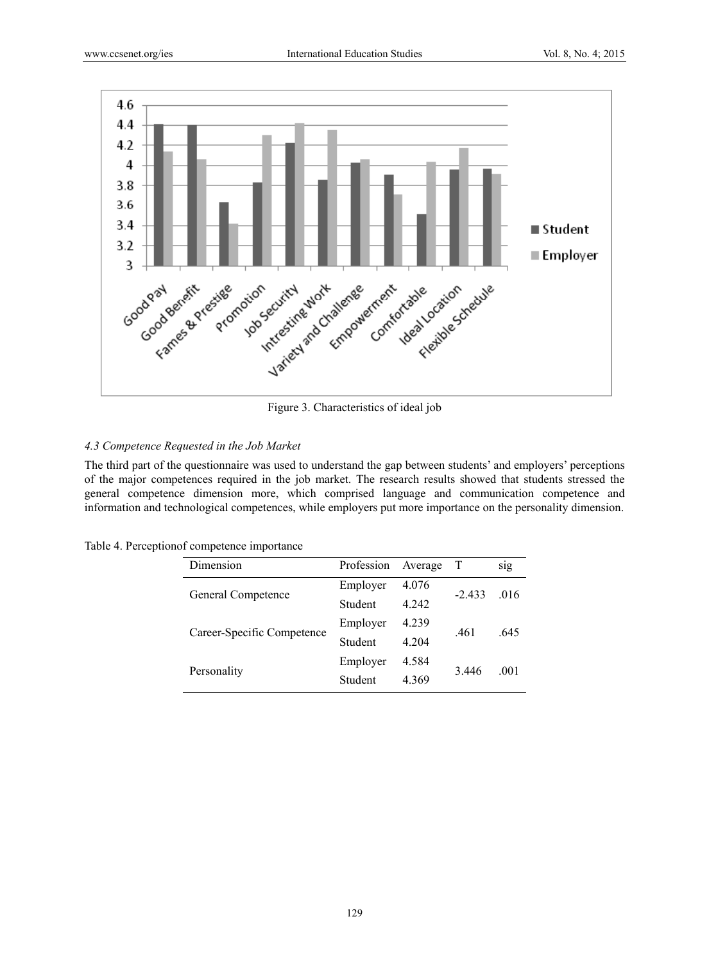

Figure 3. Characteristics of ideal job

#### *4.3 Competence Requested in the Job Market*

The third part of the questionnaire was used to understand the gap between students' and employers' perceptions of the major competences required in the job market. The research results showed that students stressed the general competence dimension more, which comprised language and communication competence and information and technological competences, while employers put more importance on the personality dimension.

| Dimension                  | Profession | Average | T        | S <sub>1</sub> g |
|----------------------------|------------|---------|----------|------------------|
|                            | Employer   | 4.076   | $-2.433$ | -016             |
| General Competence         | Student    | 4 2 4 2 |          |                  |
|                            | Employer   | 4.239   | .461     | .645             |
| Career-Specific Competence | Student    | 4 2 0 4 |          |                  |
|                            | Employer   | 4.584   |          | 001              |
| Personality                | Student    | 4 369   | 3.446    |                  |

Table 4. Perceptionof competence importance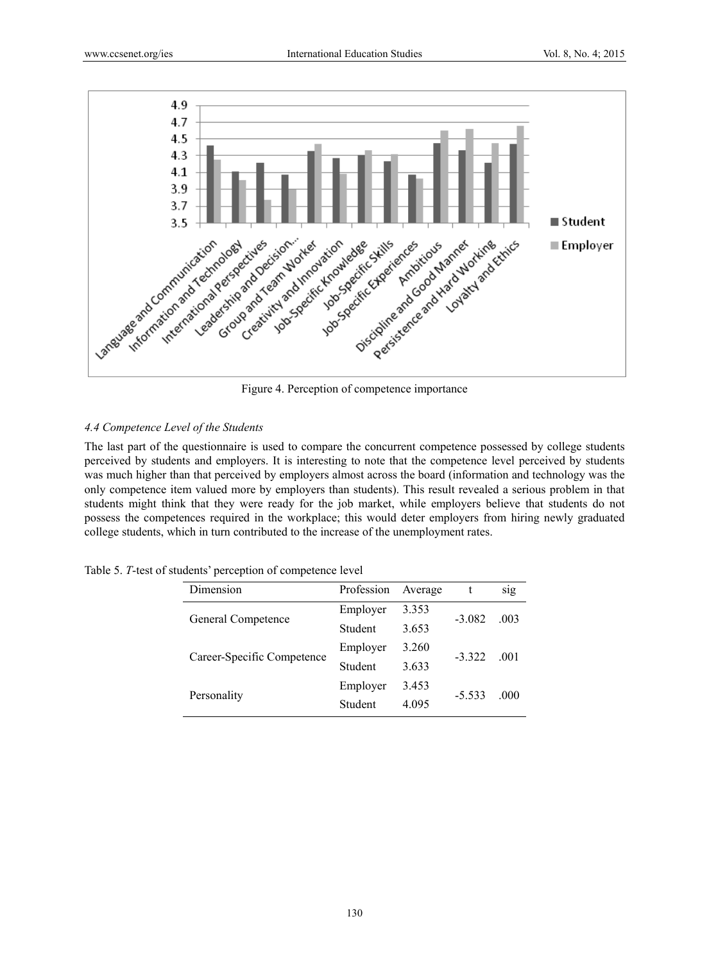

Figure 4. Perception of competence importance

## *4.4 Competence Level of the Students*

The last part of the questionnaire is used to compare the concurrent competence possessed by college students perceived by students and employers. It is interesting to note that the competence level perceived by students was much higher than that perceived by employers almost across the board (information and technology was the only competence item valued more by employers than students). This result revealed a serious problem in that students might think that they were ready for the job market, while employers believe that students do not possess the competences required in the workplace; this would deter employers from hiring newly graduated college students, which in turn contributed to the increase of the unemployment rates.

| Dimension                  | Profession | Average |          | sig  |
|----------------------------|------------|---------|----------|------|
| General Competence         | Employer   | 3.353   | $-3.082$ | .003 |
|                            | Student    | 3.653   |          |      |
|                            | Employer   | 3.260   | $-3.322$ | -001 |
| Career-Specific Competence | Student    | 3.633   |          |      |
|                            | Employer   | 3.453   |          | .000 |
| Personality                | Student    | 4.095   | $-5.533$ |      |

Table 5. *T*-test of students' perception of competence level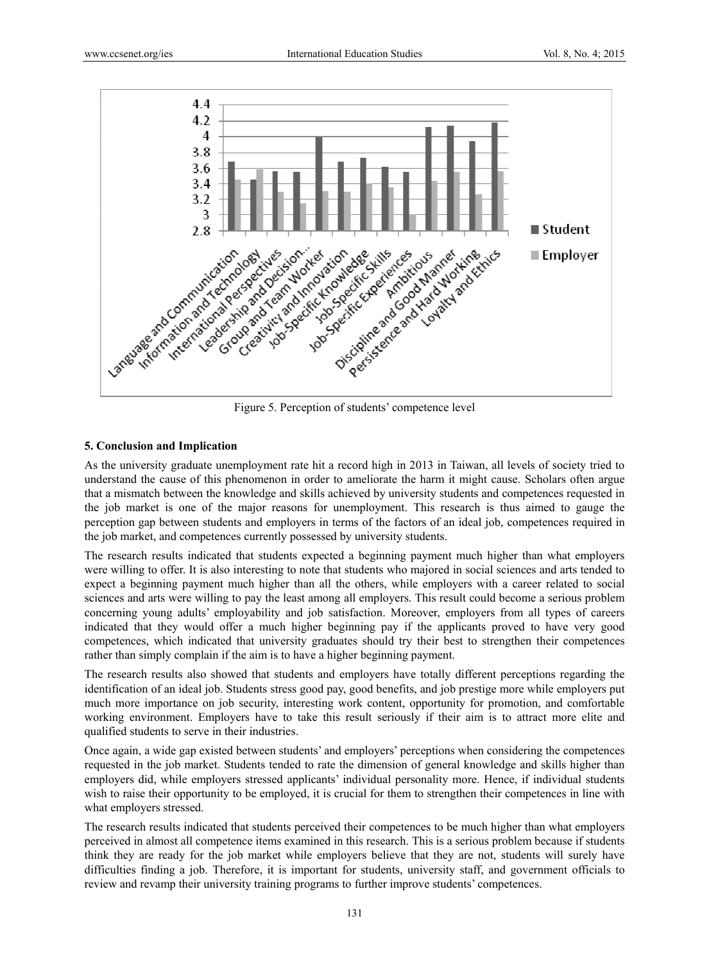

#### **5. Conclusion and Implication**

As the university graduate unemployment rate hit a record high in 2013 in Taiwan, all levels of society tried to understand the cause of this phenomenon in order to ameliorate the harm it might cause. Scholars often argue that a mismatch between the knowledge and skills achieved by university students and competences requested in the job market is one of the major reasons for unemployment. This research is thus aimed to gauge the perception gap between students and employers in terms of the factors of an ideal job, competences required in the job market, and competences currently possessed by university students.

The research results indicated that students expected a beginning payment much higher than what employers were willing to offer. It is also interesting to note that students who majored in social sciences and arts tended to expect a beginning payment much higher than all the others, while employers with a career related to social sciences and arts were willing to pay the least among all employers. This result could become a serious problem concerning young adults' employability and job satisfaction. Moreover, employers from all types of careers indicated that they would offer a much higher beginning pay if the applicants proved to have very good competences, which indicated that university graduates should try their best to strengthen their competences rather than simply complain if the aim is to have a higher beginning payment.

The research results also showed that students and employers have totally different perceptions regarding the identification of an ideal job. Students stress good pay, good benefits, and job prestige more while employers put much more importance on job security, interesting work content, opportunity for promotion, and comfortable working environment. Employers have to take this result seriously if their aim is to attract more elite and qualified students to serve in their industries.

Once again, a wide gap existed between students' and employers' perceptions when considering the competences requested in the job market. Students tended to rate the dimension of general knowledge and skills higher than employers did, while employers stressed applicants' individual personality more. Hence, if individual students wish to raise their opportunity to be employed, it is crucial for them to strengthen their competences in line with what employers stressed.

The research results indicated that students perceived their competences to be much higher than what employers perceived in almost all competence items examined in this research. This is a serious problem because if students think they are ready for the job market while employers believe that they are not, students will surely have difficulties finding a job. Therefore, it is important for students, university staff, and government officials to review and revamp their university training programs to further improve students' competences.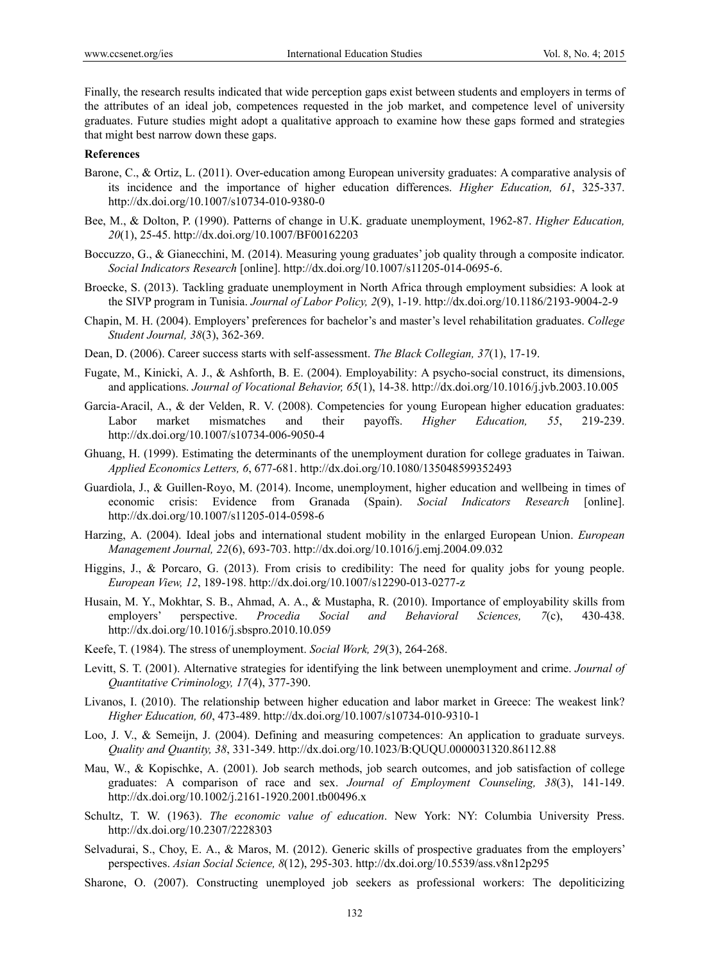Finally, the research results indicated that wide perception gaps exist between students and employers in terms of the attributes of an ideal job, competences requested in the job market, and competence level of university graduates. Future studies might adopt a qualitative approach to examine how these gaps formed and strategies that might best narrow down these gaps.

#### **References**

- Barone, C., & Ortiz, L. (2011). Over-education among European university graduates: A comparative analysis of its incidence and the importance of higher education differences. *Higher Education, 61*, 325-337. http://dx.doi.org/10.1007/s10734-010-9380-0
- Bee, M., & Dolton, P. (1990). Patterns of change in U.K. graduate unemployment, 1962-87. *Higher Education, 20*(1), 25-45. http://dx.doi.org/10.1007/BF00162203
- Boccuzzo, G., & Gianecchini, M. (2014). Measuring young graduates' job quality through a composite indicator. *Social Indicators Research* [online]. http://dx.doi.org/10.1007/s11205-014-0695-6.
- Broecke, S. (2013). Tackling graduate unemployment in North Africa through employment subsidies: A look at the SIVP program in Tunisia. *Journal of Labor Policy, 2*(9), 1-19. http://dx.doi.org/10.1186/2193-9004-2-9
- Chapin, M. H. (2004). Employers' preferences for bachelor's and master's level rehabilitation graduates. *College Student Journal, 38*(3), 362-369.
- Dean, D. (2006). Career success starts with self-assessment. *The Black Collegian, 37*(1), 17-19.
- Fugate, M., Kinicki, A. J., & Ashforth, B. E. (2004). Employability: A psycho-social construct, its dimensions, and applications. *Journal of Vocational Behavior, 65*(1), 14-38. http://dx.doi.org/10.1016/j.jvb.2003.10.005
- Garcia-Aracil, A., & der Velden, R. V. (2008). Competencies for young European higher education graduates: Labor market mismatches and their payoffs. *Higher Education, 55*, 219-239. http://dx.doi.org/10.1007/s10734-006-9050-4
- Ghuang, H. (1999). Estimating the determinants of the unemployment duration for college graduates in Taiwan. *Applied Economics Letters, 6*, 677-681. http://dx.doi.org/10.1080/135048599352493
- Guardiola, J., & Guillen-Royo, M. (2014). Income, unemployment, higher education and wellbeing in times of economic crisis: Evidence from Granada (Spain). *Social Indicators Research* [online]. http://dx.doi.org/10.1007/s11205-014-0598-6
- Harzing, A. (2004). Ideal jobs and international student mobility in the enlarged European Union. *European Management Journal, 22*(6), 693-703. http://dx.doi.org/10.1016/j.emj.2004.09.032
- Higgins, J., & Porcaro, G. (2013). From crisis to credibility: The need for quality jobs for young people. *European View, 12*, 189-198. http://dx.doi.org/10.1007/s12290-013-0277-z
- Husain, M. Y., Mokhtar, S. B., Ahmad, A. A., & Mustapha, R. (2010). Importance of employability skills from employers' perspective. *Procedia Social and Behavioral Sciences, 7*(c), 430-438. http://dx.doi.org/10.1016/j.sbspro.2010.10.059
- Keefe, T. (1984). The stress of unemployment. *Social Work, 29*(3), 264-268.
- Levitt, S. T. (2001). Alternative strategies for identifying the link between unemployment and crime. *Journal of Quantitative Criminology, 17*(4), 377-390.
- Livanos, I. (2010). The relationship between higher education and labor market in Greece: The weakest link? *Higher Education, 60*, 473-489. http://dx.doi.org/10.1007/s10734-010-9310-1
- Loo, J. V., & Semeijn, J. (2004). Defining and measuring competences: An application to graduate surveys. *Quality and Quantity, 38*, 331-349. http://dx.doi.org/10.1023/B:QUQU.0000031320.86112.88
- Mau, W., & Kopischke, A. (2001). Job search methods, job search outcomes, and job satisfaction of college graduates: A comparison of race and sex. *Journal of Employment Counseling, 38*(3), 141-149. http://dx.doi.org/10.1002/j.2161-1920.2001.tb00496.x
- Schultz, T. W. (1963). *The economic value of education*. New York: NY: Columbia University Press. http://dx.doi.org/10.2307/2228303
- Selvadurai, S., Choy, E. A., & Maros, M. (2012). Generic skills of prospective graduates from the employers' perspectives. *Asian Social Science, 8*(12), 295-303. http://dx.doi.org/10.5539/ass.v8n12p295
- Sharone, O. (2007). Constructing unemployed job seekers as professional workers: The depoliticizing